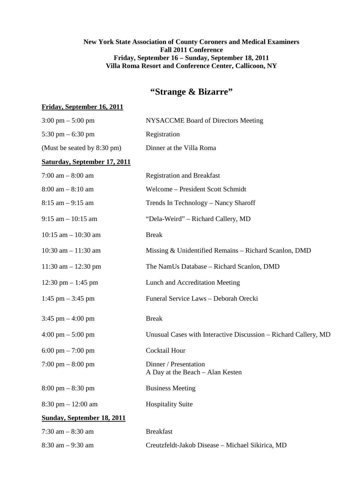## **New York State Association of County Coroners and Medical Examiners Fall 2011 Conference Friday, September 16 – Sunday, September 18, 2011 Villa Roma Resort and Conference Center, Callicoon, NY**

# **"Strange & Bizarre"**

#### **Friday, September 16, 2011**

| $3:00 \text{ pm} - 5:00 \text{ pm}$  | <b>NYSACCME Board of Directors Meeting</b>                      |
|--------------------------------------|-----------------------------------------------------------------|
| 5:30 pm $-$ 6:30 pm                  | Registration                                                    |
| (Must be seated by 8:30 pm)          | Dinner at the Villa Roma                                        |
| Saturday, September 17, 2011         |                                                                 |
| 7:00 am $-8:00$ am                   | <b>Registration and Breakfast</b>                               |
| $8:00$ am $-8:10$ am                 | Welcome - President Scott Schmidt                               |
| $8:15$ am $-9:15$ am                 | Trends In Technology - Nancy Sharoff                            |
| $9:15$ am $-10:15$ am                | "Dela-Weird" - Richard Callery, MD                              |
| $10:15$ am $- 10:30$ am              | <b>Break</b>                                                    |
| $10:30$ am $-11:30$ am               | Missing & Unidentified Remains - Richard Scanlon, DMD           |
| 11:30 am $- 12:30$ pm                | The NamUs Database - Richard Scanlon, DMD                       |
| 12:30 pm $-$ 1:45 pm                 | Lunch and Accreditation Meeting                                 |
| 1:45 pm $-$ 3:45 pm                  | Funeral Service Laws - Deborah Orecki                           |
| $3:45$ pm $-4:00$ pm                 | <b>Break</b>                                                    |
| $4:00 \text{ pm} - 5:00 \text{ pm}$  | Unusual Cases with Interactive Discussion - Richard Callery, MD |
| 6:00 pm $- 7:00$ pm                  | <b>Cocktail Hour</b>                                            |
| $7:00 \text{ pm} - 8:00 \text{ pm}$  | Dinner / Presentation<br>A Day at the Beach – Alan Kesten       |
| $8:00 \text{ pm} - 8:30 \text{ pm}$  | <b>Business Meeting</b>                                         |
| $8:30 \text{ pm} - 12:00 \text{ am}$ | <b>Hospitality Suite</b>                                        |
| <b>Sunday, September 18, 2011</b>    |                                                                 |
| $7:30$ am $-8:30$ am                 | <b>Breakfast</b>                                                |
| $8:30$ am $-9:30$ am                 | Creutzfeldt-Jakob Disease - Michael Sikirica, MD                |